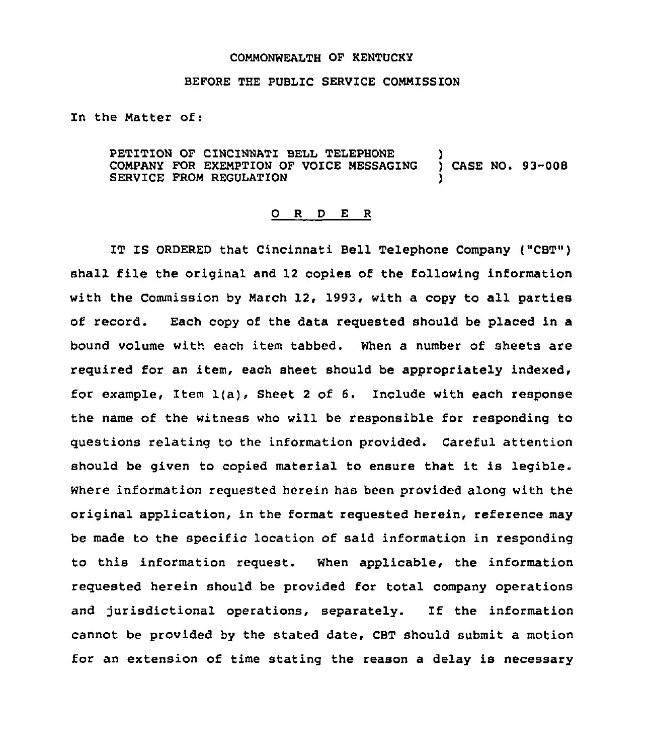## CONNONWEALTH OF KENTUCKY

## BEFORE THE PUBLIC SERVICE COMMISSION

In the Natter of:

PETITION OF CINCINNATI BELL TELEPHONE CONPANY FOR EXEMPTION OF VOICE NESSAGING ) CASE NO. 93-008 SERVICE FROM REGULATION

## 0 <sup>R</sup> <sup>D</sup> E <sup>R</sup>

IT IS ORDERED that Cincinnati Bell Telephone Company ("CBT") shall file the original and <sup>12</sup> copies of the following information with the Commission by March 12, 1993, with a copy to all parties of record. Each copy of the data requested should be placed in a bound volume with each item tabbed. When a number of sheets are required for an item, each sheet should be appropriately indexed, for example, Item 1(a), Sheet <sup>2</sup> of 6. Include with each response the name of the witness who will be responsible for responding to questions relating to the information provided. Careful attention should be given to copied material to ensure that it is legible. Where information requested herein has been provided along with the original application, in the format requested herein, reference may be made to the specific location of said information in responding to this information request. When applicable, the information requested herein should be provided for total company operations and jurisdictional operations, separately. If the information cannot be provided by the stated date, CBT should submit a motion for an extension of time stating the reason a delay is necessary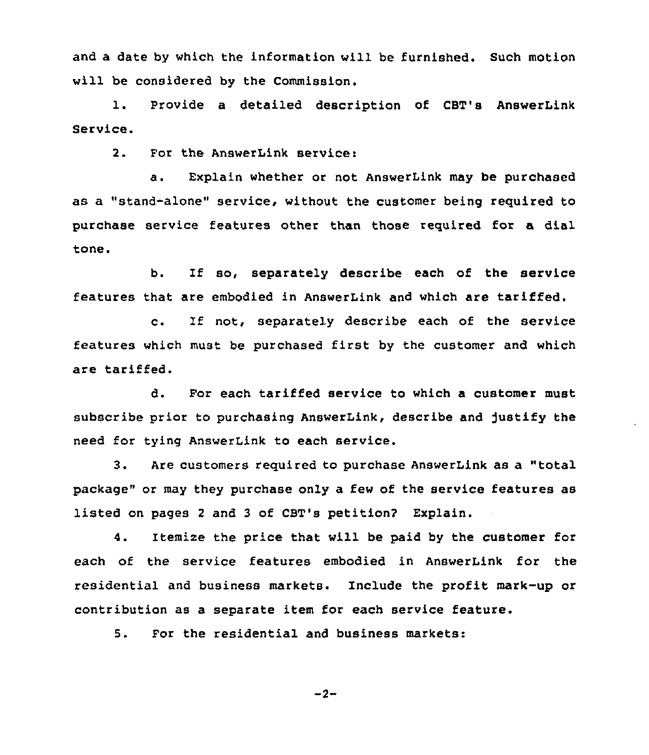and a date by which the information will be furnished. Such motion will be considered by the Commission.

1. Provide <sup>a</sup> detailed description of CBT's AnswerLink Service.

2. For the AnswerLink service:

a. Explain whether or not AnswerLink may be purchased as a "stand-alone" service, without the customer being required to purchase service features other than those required for a dial tone.

b. If so, separately describe each of the service features that are embodied in AnswerLink and which are tariffed.

c. If not, separately describe each of the service features which must be purchased first by the customer and which are tariffed.

d. For each tariffed service to which a customer must subscribe prior to purchasing AnswerLink, describe and Justify the need for tying AnswerLink to each service.

3. Are customers required to purchase AnswerLink as a "total package" or may they purchase only a few of the service features as listed on pages <sup>2</sup> and <sup>3</sup> of CBT's petition? Explain.

4. Itemize the price that will be paid by the customer for each of the service features embodied in AnswerLink for the residential and business markets. Include the profit mark-up or contribution as a separate item for each service feature.

5. For the residential and business markets:

$$
-2-
$$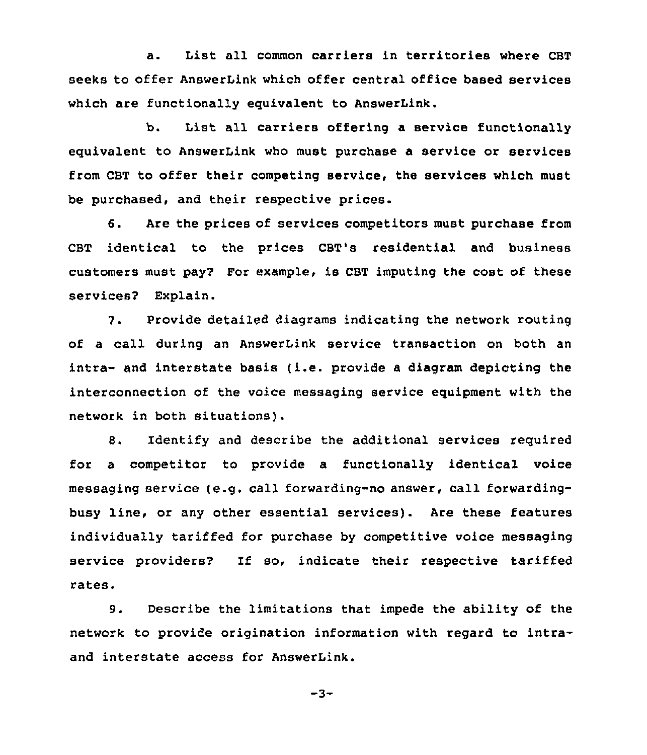a. List all common carriers in territories where CBT seeks to offer AnswerLink which offer central office based services which are functionally equivalent to AnswerLink.

b. List all carriers offering a service functionally equivalent to AnswerLink who must purchase a service or services from CBT to offer their competing service, the services which must be purchased, and their respective prices.

6. Are the prices of services competitors must purchase from CBT identical to the prices CBT's residential and business customers must pay2 For example, is CBT imputing the cost of these services2 Explain.

7. provide detailed diagrams indicating the network routing of a call during an AnswerLink service transaction on both an  $intra-$  and interstate basis (i.e. provide a diagram depicting the interconnection of the voice messaging service equipment with the network in both situations).

8. Identify and describe the additional services required for a competitor to provide a functionally identical voice messaging service (e.g. call forwarding-no answer, call forwardingbusy line, or any other essential services). Are these features individually tariffed for purchase by competitive voice messaging service providers? If so, indicate their respective tariffed rates.

9. Describe the limitations that impede the ability of the network to provide origination information with regard to intraand interstate access for AnswerLink.

$$
-3-
$$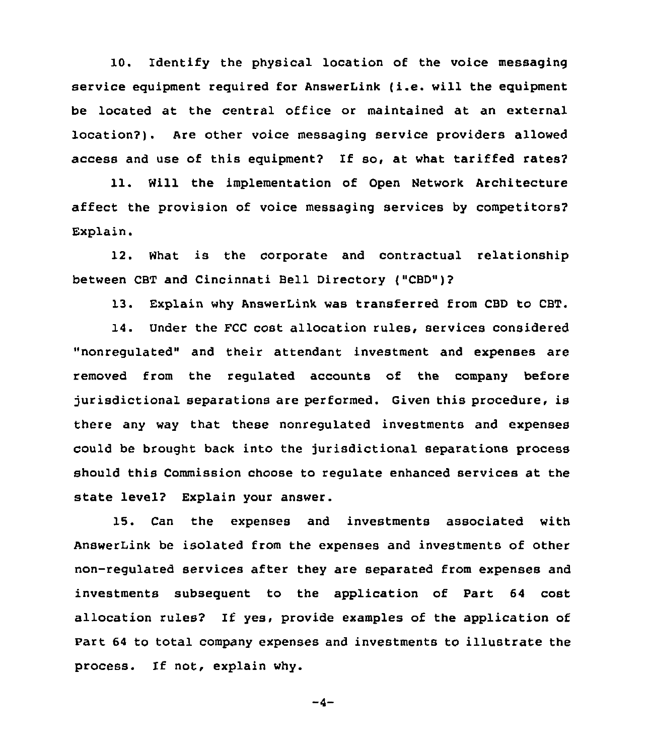10. Identify the physical location of the voice messaging service equipment required for AnswerLink (i.e. will the equipment be located at the central office or maintained at an external location?). Are other voice messaging service providers allowed access and use of this equipment? If so, at what tariffed rates?

11. Will the implementation of Open Network Architecture affect the provision of voice messaging services by competitors' Explain.

12. What is the corporate and contractual relationship between CBT and Cincinnati Bell Directory ("CBD")?

13. Explain why AnswerLink was transferred from CBD to CBT.

14. Under the FCC cost allocation rules, services considered "nonregulated" and their attendant investment and expenses are removed from the regulated accounts of the company before jurisdictional separations are performed. Given this procedure, is there any way that these nonregulated investments and expenses could be brought back into the jurisdictional separations process should this Commission choose to regulate enhanced services at the state level? Explain your answer.

15. Can the expenses and investments associated with AnswerLink be isolated from the expenses and investments of other non-regulated services after they are separated from expenses and investments subsequent to the application of Part 64 cost allocation rules? If yes, provide examples of the application of Part 64 to total company expenses and investments to illustrate the process. If not, explain why.

 $-4-$